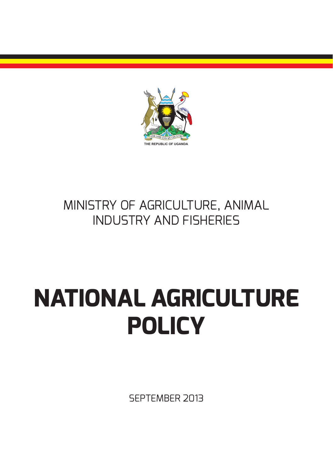

### MINISTRY OF AGRICULTURE, ANIMAL INDUSTRY AND FISHERIES

# **NATIONAL AGRICULTURE POLICY**

SEPTEMBER 2013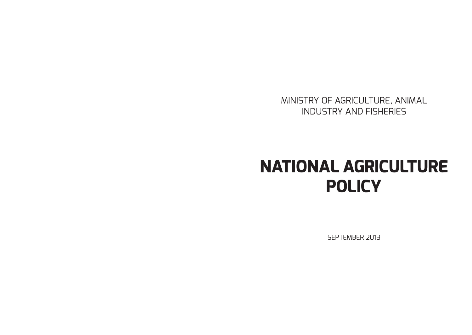MINISTRY OF AGRICULTURE, ANIMAL INDUSTRY AND FISHERIES

# **NATIONAL AGRICULTURE POLICY**

SEPTEMBER 2013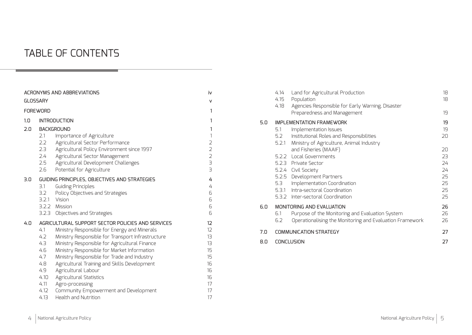### TABLE OF CONTENTS

|     |                                                                               | <b>ACRONYMS AND ABBREVIATIONS</b>                                                                                                                                                                                                                                                                                                                                                                                                                                                           | iv                                                                                                                         |
|-----|-------------------------------------------------------------------------------|---------------------------------------------------------------------------------------------------------------------------------------------------------------------------------------------------------------------------------------------------------------------------------------------------------------------------------------------------------------------------------------------------------------------------------------------------------------------------------------------|----------------------------------------------------------------------------------------------------------------------------|
|     | <b>GLOSSARY</b>                                                               |                                                                                                                                                                                                                                                                                                                                                                                                                                                                                             | v                                                                                                                          |
|     | <b>FOREWORD</b>                                                               |                                                                                                                                                                                                                                                                                                                                                                                                                                                                                             | 1                                                                                                                          |
| 1.0 | <b>INTRODUCTION</b>                                                           |                                                                                                                                                                                                                                                                                                                                                                                                                                                                                             |                                                                                                                            |
| 2.0 | 2.1<br>2.2<br>2.3<br>2.4<br>2.5<br>2.6                                        | <b>BACKGROUND</b><br>Importance of Agriculture<br>Agricultural Sector Performance<br>Agricultural Policy Environment since 1997<br>Agricultural Sector Management<br>Agricultural Development Challenges<br>Potential for Agriculture                                                                                                                                                                                                                                                       | 1<br>$\mathbf{1}$<br>$\overline{2}$<br>$\overline{2}$<br>$\overline{2}$<br>З<br>$\exists$                                  |
| 3.0 | 3.1<br>3.2<br>3.2.1                                                           | GUIDING PRINCIPLES, OBJECTIVES AND STRATEGIES<br>Guiding Principles<br>Policy Objectives and Strategies<br>Vision<br>3.2.2 Mission<br>3.2.3 Objectives and Strategies                                                                                                                                                                                                                                                                                                                       | 4<br>4<br>6<br>6<br>6<br>6                                                                                                 |
| 4.0 | 4.1<br>4.2<br>4.3<br>4.6<br>4.7<br>4.8<br>4.9<br>4.10<br>4.11<br>4.12<br>4.13 | AGRICULTURAL SUPPORT SECTOR POLICIES AND SERVICES<br>Ministry Responsible for Energy and Minerals<br>Ministry Responsible for Transport Infrastructure<br>Ministry Responsible for Agricultural Finance<br>Ministry Responsible for Market Information<br>Ministry Responsible for Trade and Industry<br>Agricultural Training and Skills Development<br>Agricultural Labour<br>Agricultural Statistics<br>Agro-processing<br>Community Empowerment and Development<br>Health and Nutrition | 12 <sup>2</sup><br>$12 \overline{ }$<br>13 <sup>°</sup><br>13 <sup>°</sup><br>15<br>15<br>16<br>16<br>16<br>17<br>17<br>17 |

|     | 4.14<br>4.15<br>4.18 | Land for Agricultural Production<br>Population<br>Agencies Responsible for Early Warning, Disaster<br>Preparedness and Management                                                                                                      | 18<br>18<br>19                               |
|-----|----------------------|----------------------------------------------------------------------------------------------------------------------------------------------------------------------------------------------------------------------------------------|----------------------------------------------|
| 5.0 | 5.1<br>5.2<br>5.2.1  | <b>IMPLEMENTATION FRAMEWORK</b><br>Implementation Issues<br>Institutional Roles and Responsibilities<br>Ministry of Agriculture, Animal Industry                                                                                       | 19<br>19<br>20                               |
|     | 5.3                  | and Fisheries (MAAIF)<br>5.2.2 Local Governments<br>5.2.3 Private Sector<br>5.2.4 Civil Society<br>5.2.5 Development Partners<br>Implementation Coordination<br>5.3.1 Intra-sectoral Coordination<br>5.3.2 Inter-sectoral Coordination | 20<br>23<br>24<br>24<br>25<br>25<br>25<br>25 |
| 6.0 | 6.1<br>6.2           | <b>MONITORING AND EVALUATION</b><br>Purpose of the Monitoring and Evaluation System<br>Operationalising the Monitoring and Evaluation Framework                                                                                        | 26<br>26<br>26                               |
| 7.0 |                      | <b>COMMUNICATION STRATEGY</b>                                                                                                                                                                                                          | 27                                           |
| 8.0 | <b>CONCLUSION</b>    |                                                                                                                                                                                                                                        |                                              |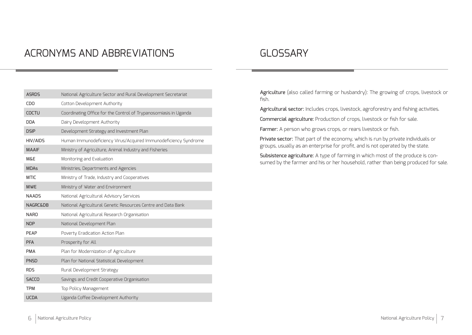### ACRONYMS AND ABBREVIATIONS

### GLOSSARY

| <b>ASRDS</b>        | National Agriculture Sector and Rural Development Secretariat    |
|---------------------|------------------------------------------------------------------|
| <b>CDO</b>          | Cotton Development Authority                                     |
| <b>COCTU</b>        | Coordinating Office for the Control of Trypanosomiasis in Uganda |
| <b>DDA</b>          | Dairy Development Authority                                      |
| <b>DSIP</b>         | Development Strategy and Investment Plan                         |
| HIV/AIDS            | Human Immunodeficiency Virus/Acquired Immunodeficiency Syndrome  |
| <b>MAAIF</b>        | Ministry of Agriculture, Animal Industry and Fisheries           |
| <b>Μ&amp;Ε</b>      | Monitoring and Evaluation                                        |
| <b>MDAs</b>         | Ministries, Departments and Agencies                             |
| <b>MTIC</b>         | Ministry of Trade, Industry and Cooperatives                     |
| <b>MWE</b>          | Ministry of Water and Environment                                |
| <b>NAADS</b>        | National Agricultural Advisory Services                          |
| <b>NAGRC&amp;DB</b> | National Agricultural Genetic Resources Centre and Data Bank     |
| <b>NARO</b>         | National Agricultural Research Organisation                      |
| <b>NDP</b>          | National Development Plan                                        |
| PEAP                | Poverty Eradication Action Plan                                  |
| <b>PFA</b>          | Prosperity for All                                               |
| <b>PMA</b>          | Plan for Modernization of Agriculture                            |
| <b>PNSD</b>         | Plan for National Statistical Development                        |
| <b>RDS</b>          | Rural Development Strategy                                       |
| <b>SACCO</b>        | Savings and Credit Cooperative Organisation                      |
| <b>TPM</b>          | Top Policy Management                                            |
| <b>UCDA</b>         | Uganda Coffee Development Authority                              |

Agriculture (also called farming or husbandry): The growing of crops, livestock or fish.

Agricultural sector: Includes crops, livestock, agroforestry and fishing activities.

Commercial agriculture: Production of crops, livestock or fish for sale.

Farmer: A person who grows crops, or rears livestock or fish.

Private sector: That part of the economy, which is run by private individuals or groups, usually as an enterprise for profit, and is not operated by the state.

Subsistence agriculture: A type of farming in which most of the produce is consumed by the farmer and his or her household, rather than being produced for sale.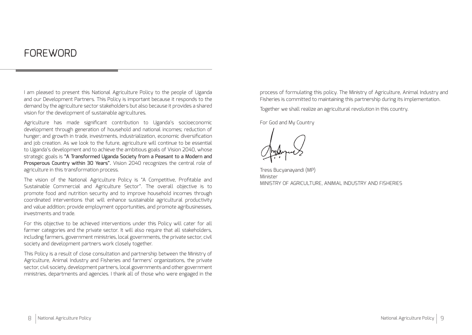### **FOREWORD**

I am pleased to present this National Agriculture Policy to the people of Uganda and our Development Partners. This Policy is important because it responds to the demand by the agriculture sector stakeholders but also because it provides a shared vision for the development of sustainable agricultures.

Agriculture has made significant contribution to Uganda's socioeconomic development through generation of household and national incomes; reduction of hunger; and growth in trade, investments, industrialization, economic diversification and job creation. As we look to the future, agriculture will continue to be essential to Uganda's development and to achieve the ambitious goals of Vision 2040, whose strategic goals is "A Transformed Uganda Society from a Peasant to a Modern and Prosperous Country within 30 Years". Vision 2040 recognizes the central role of agriculture in this transformation process.

The vision of the National Agriculture Policy is "A Competitive, Profitable and Sustainable Commercial and Agriculture Sector". The overall objective is to promote food and nutrition security and to improve household incomes through coordinated interventions that will enhance sustainable agricultural productivity and value addition; provide employment opportunities, and promote agribusinesses, investments and trade.

For this objective to be achieved interventions under this Policy will cater for all farmer categories and the private sector. It will also require that all stakeholders, including farmers, government ministries, local governments, the private sector, civil society and development partners work closely together.

This Policy is a result of close consultation and partnership between the Ministry of Agriculture, Animal Industry and Fisheries and farmers' organizations, the private sector, civil society, development partners, local governments and other government ministries, departments and agencies. I thank all of those who were engaged in the process of formulating this policy. The Ministry of Agriculture, Animal Industry and Fisheries is committed to maintaining this partnership during its implementation.

Together we shall realize an agricultural revolution in this country.

For God and My Country

Tress Bucyanayandi (MP) **Minister** MINISTRY OF AGRICULTURE, ANIMAL INDUSTRY AND FISHERIES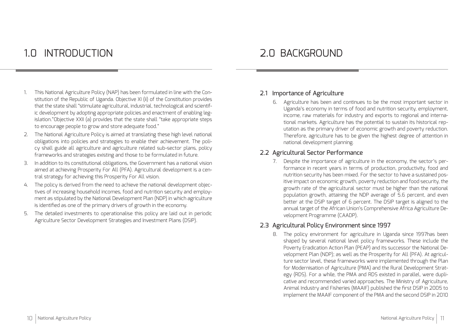### 1.0 INTRODUCTION 2.0 BACKGROUND

- 1. This National Agriculture Policy (NAP) has been formulated in line with the Constitution of the Republic of Uganda. Objective XI (ii) of the Constitution provides that the state shall "stimulate agricultural, industrial, technological and scientific development by adopting appropriate policies and enactment of enabling legislation."Objective XXII (a) provides that the state shall "take appropriate steps to encourage people to grow and store adequate food."
- 2. The National Agriculture Policy is aimed at translating these high level national obligations into policies and strategies to enable their achievement. The policy shall guide all agriculture and agriculture related sub-sector plans, policy frameworks and strategies existing and those to be formulated in future.
- 3. In addition to its constitutional obligations, the Government has a national vision aimed at achieving Prosperity For All (PFA). Agricultural development is a central strategy for achieving this Prosperity For All vision.
- 4. The policy is derived from the need to achieve the national development objectives of increasing household incomes, food and nutrition security and employment as stipulated by the National Development Plan (NDP) in which agriculture is identified as one of the primary drivers of growth in the economy.
- 5. The detailed investments to operationalise this policy are laid out in periodic Agriculture Sector Development Strategies and Investment Plans (DSIP).

#### 2.1 Importance of Agriculture

6. Agriculture has been and continues to be the most important sector in Uganda's economy in terms of food and nutrition security, employment, income, raw materials for industry and exports to regional and international markets. Agriculture has the potential to sustain its historical reputation as the primary driver of economic growth and poverty reduction. Therefore, agriculture has to be given the highest degree of attention in national development planning.

#### 2.2 Agricultural Sector Performance

7. Despite the importance of agriculture in the economy, the sector's performance in recent years in terms of production, productivity, food and nutrition security has been mixed. For the sector to have a sustained positive impact on economic growth, poverty reduction and food security, the growth rate of the agricultural sector must be higher than the national population growth, attaining the NDP average of 5.6 percent, and even better at the DSIP target of 6 percent. The DSIP target is aligned to the annual target of the African Union's Comprehensive Africa Agriculture Development Programme (CAADP).

#### 2.3 Agricultural Policy Environment since 1997

8. The policy environment for agriculture in Uganda since 1997has been shaped by several national level policy frameworks. These include the Poverty Eradication Action Plan (PEAP) and its successor the National Development Plan (NDP); as well as the Prosperity for All (PFA). At agriculture sector level, these frameworks were implemented through the Plan for Modernisation of Agriculture (PMA) and the Rural Development Strategy (RDS). For a while, the PMA and RDS existed in parallel, were duplicative and recommended varied approaches. The Ministry of Agriculture, Animal Industry and Fisheries (MAAIF) published the first DSIP in 2005 to implement the MAAIF component of the PMA and the second DSIP in 2010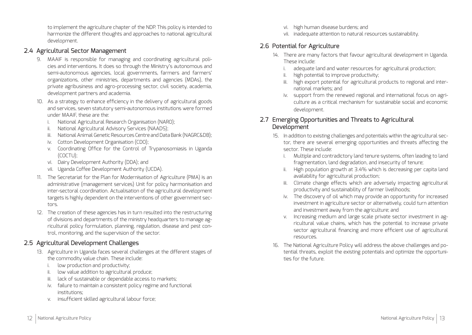to implement the agriculture chapter of the NDP. This policy is intended to harmonize the different thoughts and approaches to national agricultural development.

#### 2.4 Agricultural Sector Management

- 9. MAAIF is responsible for managing and coordinating agricultural policies and interventions. It does so through the Ministry's autonomous and semi-autonomous agencies, local governments, farmers and farmers' organizations, other ministries, departments and agencies (MDAs), the private agribusiness and agro-processing sector, civil society, academia, development partners and academia.
- 10. As a strategy to enhance efficiency in the delivery of agricultural goods and services, seven statutory semi-autonomous institutions were formed under MAAIF, these are the:
	- i. National Agricultural Research Organisation (NARO);
	- ii. National Agricultural Advisory Services (NAADS);
	- iii. National Animal Genetic Resources Centre and Data Bank (NAGRC&DB);
	- iv. Cotton Development Organisation (CDO);
	- v. Coordinating Office for the Control of Trypanosomiasis in Uganda (COCTU);
	- vi. Dairy Development Authority (DDA); and
	- vii. Uganda Coffee Development Authority (UCDA).
- 11. The Secretariat for the Plan for Modernisation of Agriculture (PMA) is an administrative (management services) Unit for policy harmonisation and inter-sectoral coordination. Actualisation of the agricultural development targets is highly dependent on the interventions of other government sectors.
- 12. The creation of these agencies has in turn resulted into the restructuring of divisions and departments of the ministry headquarters to manage agricultural policy formulation, planning, regulation, disease and pest control, monitoring, and the supervision of the sector.

### 2.5 Agricultural Development Challenges

- 13. Agriculture in Uganda faces several challenges at the different stages of the commodity value chain. These include:
	- i. low production and productivity;
	- ii. low value addition to agricultural produce;
	- iii. lack of sustainable or dependable access to markets;
	- iv. failure to maintain a consistent policy regime and functional institutions;
	- v. insufficient skilled agricultural labour force;
- vi. high human disease burdens; and
- vii. inadequate attention to natural resources sustainability.

### 2.6 Potential for Agriculture

- 14. There are many factors that favour agricultural development in Uganda. These include:
	- i. adequate land and water resources for agricultural production;
	- ii. high potential to improve productivity;
	- iii. high export potential for agricultural products to regional and international markets; and
	- iv. support from the renewed regional and international focus on agriculture as a critical mechanism for sustainable social and economic development.

#### 2.7 Emerging Opportunities and Threats to Agricultural Development

- 15. In addition to existing challenges and potentials within the agricultural sector, there are several emerging opportunities and threats affecting the sector. These include:
	- i. Multiple and contradictory land tenure systems, often leading to land fragmentation, land degradation, and insecurity of tenure;
	- ii. High population growth at 3.4% which is decreasing per capita land availability for agricultural production;
	- iii. Climate change effects which are adversely impacting agricultural productivity and sustainability of farmer livelihoods;
	- iv. The discovery of oil which may provide an opportunity for increased investment in agriculture sector or alternatively, could turn attention and investment away from the agriculture; and
	- v. Increasing medium and large scale private sector investment in agricultural value chains, which has the potential to increase private sector agricultural financing and more efficient use of agricultural resources.
- 16. The National Agriculture Policy will address the above challenges and potential threats, exploit the existing potentials and optimize the opportunities for the future.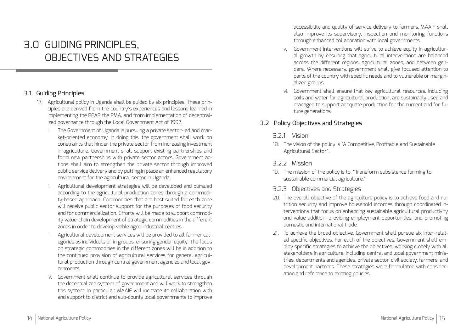## 3.0 GUIDING PRINCIPLES, OBJECTIVES AND STRATEGIES

#### 3.1 Guiding Principles

- 17. Agricultural policy in Uganda shall be guided by six principles. These principles are derived from the country's experiences and lessons learned in implementing the PEAP, the PMA, and from implementation of decentralized governance through the Local Government Act of 1997.
	- i. The Government of Uganda is pursuing a private sector-led and market-oriented economy. In doing this, the government shall work on constraints that hinder the private sector from increasing investment in agriculture. Government shall support existing partnerships and form new partnerships with private sector actors. Government actions shall aim to strengthen the private sector through improved public service delivery and by putting in place an enhanced regulatory environment for the agricultural sector in Uganda.
	- ii. Agricultural development strategies will be developed and pursued according to the agricultural production zones through a commodity-based approach. Commodities that are best suited for each zone will receive public sector support for the purposes of food security and for commercialization. Efforts will be made to support commodity value-chain development of strategic commodities in the different zones in order to develop viable agro-industrial centres.
	- iii. Agricultural development services will be provided to all farmer categories as individuals or in groups, ensuring gender equity. The focus on strategic commodities in the different zones will be in addition to the continued provision of agricultural services for general agricultural production through central government agencies and local governments.
	- iv. Government shall continue to provide agricultural services through the decentralized system of government and will work to strengthen this system. In particular, MAAIF will increase its collaboration with and support to district and sub-county local governments to improve

accessibility and quality of service delivery to farmers. MAAIF shall also improve its supervisory, inspection and monitoring functions through enhanced collaboration with local governments.

- v. Government interventions will strive to achieve equity in agricultural growth by ensuring that agricultural interventions are balanced across the different regions, agricultural zones, and between genders. Where necessary, government shall give focused attention to parts of the country with specific needs and to vulnerable or marginalized groups.
- vi. Government shall ensure that key agricultural resources, including soils and water for agricultural production, are sustainably used and managed to support adequate production for the current and for future generations.

#### 3.2 Policy Objectives and Strategies

#### 3.2.1 Vision

18. The vision of the policy is "A Competitive, Profitable and Sustainable Agricultural Sector".

#### 3.2.2 Mission

19. The mission of the policy is to: "Transform subsistence farming to sustainable commercial agriculture."

#### 3.2.3 Objectives and Strategies

- 20. The overall objective of the agriculture policy is to achieve food and nutrition security and improve household incomes through coordinated interventions that focus on enhancing sustainable agricultural productivity and value addition; providing employment opportunities, and promoting domestic and international trade.
- 21. To achieve the broad objective, Government shall pursue six inter-related specific objectives. For each of the objectives, Government shall employ specific strategies to achieve the objectives, working closely with all stakeholders in agriculture, including central and local government ministries, departments and agencies, private sector, civil society, farmers, and development partners. These strategies were formulated with consideration and reference to existing policies.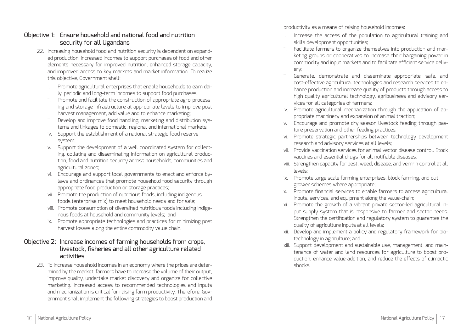#### Objective 1: Ensure household and national food and nutrition security for all Ugandans

- 22. Increasing household food and nutrition security is dependent on expanded production, increased incomes to support purchases of food and other elements necessary for improved nutrition, enhanced storage capacity, and improved access to key markets and market information. To realize this objective, Government shall:
	- i. Promote agricultural enterprises that enable households to earn daily, periodic and long-term incomes to support food purchases;
	- ii. Promote and facilitate the construction of appropriate agro-processing and storage infrastructure at appropriate levels to improve post harvest management, add value and to enhance marketing;
	- iii. Develop and improve food handling, marketing and distribution systems and linkages to domestic, regional and international markets;
	- iv. Support the establishment of a national strategic food reserve system;
	- v. Support the development of a well coordinated system for collecting, collating and disseminating information on agricultural production, food and nutrition security across households, communities and agricultural zones;
	- vi. Encourage and support local governments to enact and enforce bylaws and ordinances that promote household food security through appropriate food production or storage practices;
	- vii. Promote the production of nutritious foods, including indigenous foods (enterprise mix) to meet household needs and for sale;
	- viii. Promote consumption of diversified nutritious foods including indigenous foods at household and community levels; and
	- ix. Promote appropriate technologies and practices for minimizing post harvest losses along the entire commodity value chain.

#### Objective 2: Increase incomes of farming households from crops, livestock, fisheries and all other agriculture related activities

23. To increase household incomes in an economy where the prices are determined by the market, farmers have to increase the volume of their output, improve quality, undertake market discovery and organize for collective marketing. Increased access to recommended technologies and inputs and mechanization is critical for raising farm productivity. Therefore, Government shall implement the following strategies to boost production and

productivity as a means of raising household incomes:

- Increase the access of the population to agricultural training and skills development opportunities;
- ii. Facilitate farmers to organize themselves into production and marketing groups or cooperatives to increase their bargaining power in commodity and input markets and to facilitate efficient service delivery;
- iii. Generate, demonstrate and disseminate appropriate, safe, and cost-effective agricultural technologies and research services to enhance production and increase quality of products through access to high quality agricultural technology, agribusiness and advisory services for all categories of farmers;
- iv. Promote agricultural mechanization through the application of appropriate machinery and expansion of animal traction;
- v. Encourage and promote dry season livestock feeding through pasture preservation and other feeding practices;
- vi. Promote strategic partnerships between technology development research and advisory services at all levels;
- vii. Provide vaccination services for animal vector disease control. Stock vaccines and essential drugs for all notifiable diseases;
- viii. Strengthen capacity for pest, weed, disease, and vermin control at all levels;
- ix. Promote large scale farming enterprises, block farming, and out grower schemes where appropriate;
- x. Promote financial services to enable farmers to access agricultural inputs, services, and equipment along the value-chain;
- xi. Promote the growth of a vibrant private sector-led agricultural input supply system that is responsive to farmer and sector needs. Strengthen the certification and regulatory system to guarantee the quality of agriculture inputs at all levels;
- xii. Develop and implement a policy and regulatory framework for biotechnology in agriculture; and
- xiii. Support development and sustainable use, management, and maintenance of water and land resources for agriculture to boost production, enhance value-addition, and reduce the effects of climactic shocks.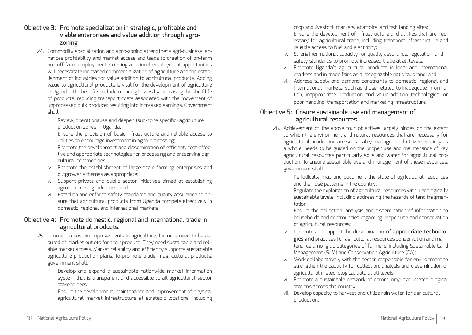- Objective 3: Promote specialization in strategic, profitable and viable enterprises and value addition through agrozoning
	- 24. Commodity specialization and agro-zoning strengthens agri-business, enhances profitability and market access and leads to creation of on-farm and off-farm employment. Creating additional employment opportunities will necessitate increased commercialization of agriculture and the establishment of industries for value addition to agricultural products. Adding value to agricultural products is vital for the development of agriculture in Uganda. The benefits include reducing losses by increasing the shelf life of products, reducing transport costs associated with the movement of unprocessed bulk produce; resulting into increased earnings. Government shall:
		- i. Review, operationalise and deepen (sub-zone specific) agriculture production zones in Uganda;
		- ii. Ensure the provision of basic infrastructure and reliable access to utilities to encourage investment in agro-processing;
		- iii. Promote the development and dissemination of efficient, cost-effective and appropriate technologies for processing and preserving agricultural commodities;
		- iv. Promote the establishment of large scale farming enterprises and outgrower schemes as appropriate;
		- v. Support private and public sector initiatives aimed at establishing agro-processing industries; and
		- vi. Establish and enforce safety standards and quality assurance to ensure that agricultural products from Uganda compete effectively in domestic, regional and international markets.

#### Objective 4: Promote domestic, regional and international trade in agricultural products.

- 25. In order to sustain improvements in agriculture, farmers need to be assured of market outlets for their produce. They need sustainable and reliable market access. Market reliability and efficiency supports sustainable agriculture production plans. To promote trade in agricultural products, government shall:
	- i. Develop and expand a sustainable nationwide market information system that is transparent and accessible to all agricultural sector stakeholders;
	- ii. Ensure the development, maintenance and improvement of physical agricultural market infrastructure at strategic locations, including

crop and livestock markets, abattoirs, and fish landing sites;

- iii. Ensure the development of infrastructure and utilities that are necessary for agricultural trade, including transport infrastructure and reliable access to fuel and electricity;
- iv. Strengthen national capacity for quality assurance, regulation, and safety standards to promote increased trade at all levels;
- v. Promote Uganda's agricultural products in local and international markets and in trade fairs as a recognizable national brand; and
- vi. Address supply and demand constraints to domestic, regional and international markets, such as those related to inadequate information, inappropriate production and value-addition technologies, or poor handling, transportation and marketing infrastructure.

#### Objective 5: Ensure sustainable use and management of agricultural resources

- 26. Achievement of the above four objectives largely hinges on the extent to which the environment and natural resources that are necessary for agricultural production are sustainably managed and utilized. Society as a whole, needs to be guided on the proper use and maintenance of key agricultural resources particularly soils and water for agricultural production. To ensure sustainable use and management of these resources, government shall:
	- i. Periodically map and document the state of agricultural resources and their use patterns in the country;
	- ii. Regulate the exploitation of agricultural resources within ecologically sustainable levels, including addressing the hazards of land fragmentation;
	- iii. Ensure the collection, analysis and dissemination of information to households and communities regarding proper use and conservation of agricultural resources;
	- iv. Promote and support the dissemination of appropriate technologies and practices for agricultural resources conservation and maintenance among all categories of farmers, including Sustainable Land Management (SLM) and Conservation Agriculture (CA);
	- v. Work collaboratively with the sector responsible for environment to strengthen the capacity for collection, analysis and dissemination of agricultural meteorological data at all levels;
	- vi. Promote a sustainable network of community-level meteorological stations across the country;
	- vii. Develop capacity to harvest and utilize rain water for agricultural production;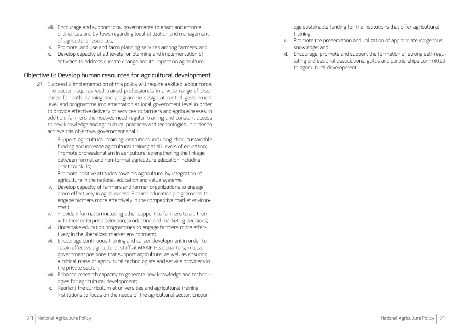- viii. Encourage and support local governments to enact and enforce ordinances and by-laws regarding local utilization and management of agriculture resources;
- ix. Promote land use and farm planning services among farmers; and
- x. Develop capacity at all levels for planning and implementation of activities to address climate change and its impact on agriculture.

#### Objective 6: Develop human resources for agricultural development

- 27. Successful implementation of this policy will require a skilled labour force. The sector requires well-trained professionals in a wide range of disciplines for both planning and programme design at central government level and programme implementation at local government level in order to provide effective delivery of services to farmers and agribusinesses. In addition, farmers themselves need regular training and constant access to new knowledge and agricultural practices and technologies. In order to achieve this objective, government shall:
	- i. Support agricultural training institutions including their sustainable funding and increase agricultural training at all levels of education;
	- ii. Promote professionalism in agriculture, strengthening the linkage between formal and non-formal agriculture education including practical skills;
	- iii. Promote positive attitudes towards agriculture, by integration of agriculture in the national education and value systems;
	- iv. Develop capacity of farmers and farmer organizations to engage more effectively in agribusiness. Provide education programmes to engage farmers more effectively in the competitive market environment;
	- Provide information including other support to farmers to aid them with their enterprise selection, production and marketing decisions;
	- vi. Undertake education programmes to engage farmers more effectively in the liberalized market environment;
	- vii. Encourage continuous training and career development in order to retain effective agricultural staff at MAAIF Headquarters; in local government positions that support agriculture; as well as ensuring a critical mass of agricultural technologists and service providers in the private sector;
	- viii. Enhance research capacity to generate new knowledge and technologies for agricultural development;
	- ix. Reorient the curriculum at universities and agricultural training institutions to focus on the needs of the agricultural sector. Encour-

age sustainable funding for the institutions that offer agricultural training;

- x. Promote the preservation and utilization of appropriate indigenous knowledge; and
- xi. Encourage, promote and support the formation of strong self-regulating professional associations, guilds and partnerships committed to agricultural development.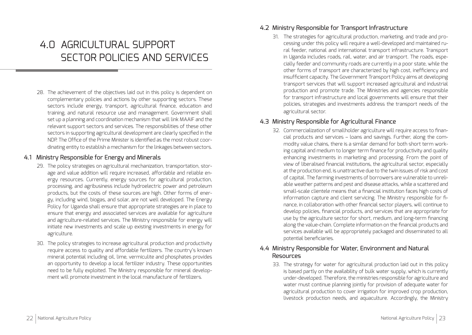### 4 N AGRICULTURAL SUPPORT SECTOR POLICIES AND SERVICES

28. The achievement of the objectives laid out in this policy is dependent on complementary policies and actions by other supporting sectors. These sectors include energy, transport, agricultural finance, education and training, and natural resource use and management. Government shall set up a planning and coordination mechanism that will link MAAIF and the relevant support sectors and services. The responsibilities of these other sectors in supporting agricultural development are clearly specified in the NDP. The Office of the Prime Minister is identified as the most robust coordinating entity to establish a mechanism for the linkages between sectors.

#### 4.1 Ministry Responsible for Energy and Minerals

- 29. The policy strategies on agricultural mechanization, transportation, storage and value addition will require increased, affordable and reliable energy resources. Currently, energy sources for agricultural production, processing, and agribusiness include hydroelectric power and petroleum products, but the costs of these sources are high. Other forms of energy, including wind, biogas, and solar, are not well developed. The Energy Policy for Uganda shall ensure that appropriate strategies are in place to ensure that energy and associated services are available for agriculture and agriculture-related services. The Ministry responsible for energy will initiate new investments and scale up existing investments in energy for agriculture.
- 30. The policy strategies to increase agricultural production and productivity require access to quality and affordable fertilizers. The country's known mineral potential including oil, lime, vermiculite and phosphates provides an opportunity to develop a local fertilizer industry. These opportunities need to be fully exploited. The Ministry responsible for mineral development will promote investment in the local manufacture of fertilizers.

#### 4.2 Ministry Responsible for Transport Infrastructure

31. The strategies for agricultural production, marketing, and trade and processing under this policy will require a well-developed and maintained rural feeder, national and international transport infrastructure. Transport in Uganda includes roads, rail, water, and air transport. The roads, especially feeder and community roads are currently in a poor state, while the other forms of transport are characterized by high cost, inefficiency and insufficient capacity. The Government Transport Policy aims at developing transport services that will support increased agricultural and industrial production and promote trade. The Ministries and agencies responsible for transport infrastructure and local governments will ensure that their policies, strategies and investments address the transport needs of the agricultural sector.

#### 4.3 Ministry Responsible for Agricultural Finance

32. Commercialization of smallholder agriculture will require access to financial products and services – loans and savings. Further, along the commodity value chains, there is a similar demand for both short term working capital and medium to longer term finance for productivity and quality enhancing investments in marketing and processing. From the point of view of liberalised financial institutions, the agricultural sector, especially at the production end, is unattractive due to the twin issues of risk and cost of capital. The farming investments of borrowers are vulnerable to unreliable weather patterns and pest and disease attacks, while a scattered and small-scale clientele means that a financial institution faces high costs of information capture and client servicing. The Ministry responsible for finance, in collaboration with other financial sector players, will continue to develop policies, financial products, and services that are appropriate for use by the agriculture sector for short, medium, and long-term financing along the value-chain. Complete information on the financial products and services available will be appropriately packaged and disseminated to all potential beneficiaries.

#### 4.4 Ministry Responsible for Water, Environment and Natural Resources

33. The strategy for water for agricultural production laid out in this policy is based partly on the availability of bulk water supply, which is currently under-developed. Therefore, the ministries responsible for agriculture and water must continue planning jointly for provision of adequate water for agricultural production to cover irrigation for improved crop production, livestock production needs, and aquaculture. Accordingly, the Ministry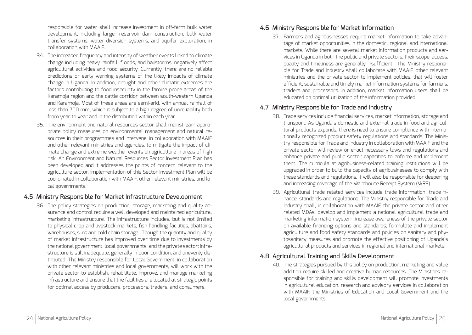responsible for water shall increase investment in off-farm bulk water development, including larger reservoir dam construction, bulk water transfer systems, water diversion systems, and aquifer exploration, in collaboration with MAAIF.

- 34. The increased frequency and intensity of weather events linked to climate change including heavy rainfall, floods, and hailstorms, negatively affect agricultural activities and food security. Currently, there are no reliable predictions or early warning systems of the likely impacts of climate change in Uganda. In addition, drought and other climatic extremes are factors contributing to food insecurity in the famine prone areas of the Karamoja region and the cattle corridor between south-western Uganda and Karamoja. Most of these areas are semi-arid, with annual rainfall of less than 700 mm, which is subject to a high degree of unreliability both from year to year and in the distribution within each year.
- 35. The environment and natural resources sector shall mainstream appropriate policy measures on environmental management and natural resources in their programmes and intervene, in collaboration with MAAIF and other relevant ministries and agencies, to mitigate the impact of climate change and extreme weather events on agriculture in areas of high risk. An Environment and Natural Resources Sector Investment Plan has been developed and it addresses the points of concern relevant to the agriculture sector. Implementation of this Sector Investment Plan will be coordinated in collaboration with MAAIF, other relevant ministries, and local governments.

#### 4.5 Ministry Responsible for Market Infrastructure Development

36. The policy strategies on production, storage, marketing and quality assurance and control require a well developed and maintained agricultural marketing infrastructure. The infrastructure includes, but is not limited to physical crop and livestock markets, fish handling facilities, abattoirs, warehouses, silos and cold chain storage. Though the quantity and quality of market infrastructure has improved over time due to investments by the national government, local governments, and the private sector; infrastructure is still inadequate, generally in poor condition, and unevenly distributed. The Ministry responsible for Local Government, in collaboration with other relevant ministries and local governments, will work with the private sector to establish, rehabilitate, improve, and manage marketing infrastructure and ensure that the facilities are located at strategic points for optimal access by producers, processors, traders, and consumers.

#### 4.6 Ministry Responsible for Market Information

37. Farmers and agribusinesses require market information to take advantage of market opportunities in the domestic, regional and international markets. While there are several market information products and services in Uganda in both the public and private sectors, their scope, access, quality and timeliness are generally insufficient. The Ministry responsible for Trade and Industry shall collaborate with MAAIF, other relevant ministries and the private sector to implement policies, that will foster efficient, sustainable and timely market information systems for farmers, traders and processors. In addition, market information users shall be educated on optimal utilization of the information provided.

#### 4.7 Ministry Responsible for Trade and Industry

- 38. Trade services include financial services, market information, storage and transport. As Uganda's domestic and external trade in food and agricultural products expands, there is need to ensure compliance with internationally recognized product safety regulations and standards. The Ministry responsible for Trade and Industry in collaboration with MAAIF and the private sector will review or enact necessary laws and regulations and enhance private and public sector capacities to enforce and implement them. The curricula at agribusiness-related training institutions will be upgraded in order to build the capacity of agribusinesses to comply with these standards and regulations. It will also be responsible for deepening and increasing coverage of the Warehouse Receipt System (WRS).
- 39. Agricultural trade related services include trade information, trade finance, standards and regulations. The Ministry responsible for Trade and Industry shall, in collaboration with MAAIF, the private sector and other related MDAs, develop and implement a national agricultural trade and marketing information system; increase awareness of the private sector on available financing options and standards; formulate and implement agriculture and food safety standards and policies on sanitary and phytosanitary measures and promote the effective positioning of Uganda's agricultural products and services in regional and international markets.

#### 4.8 Agricultural Training and Skills Development

40. The strategies pursued by this policy on production, marketing and value addition require skilled and creative human resources. The Ministries responsible for training and skills development will promote investments in agricultural education, research and advisory services in collaboration with MAAIF, the Ministries of Education and Local Government and the local governments.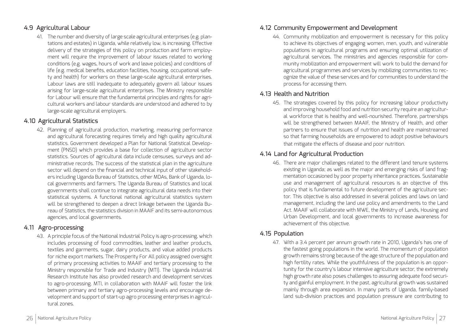#### 4.9 Agricultural Labour

41. The number and diversity of large scale agricultural enterprises (e.g. plantations and estates) in Uganda, while relatively low, is increasing. Effective delivery of the strategies of this policy on production and farm employment will require the improvement of labour issues related to working conditions (e.g. wages, hours of work and leave policies) and conditions of life (e.g. medical benefits, education facilities, housing, occupational safety and health) for workers on these large-scale agricultural enterprises. Labour laws are still inadequate to adequately govern all labour issues arising for large-scale agricultural enterprises. The Ministry responsible for Labour will ensure that the fundamental principles and rights for agricultural workers and labour standards are understood and adhered to by large-scale agricultural employers.

#### 4.10 Agricultural Statistics

42. Planning of agricultural production, marketing, measuring performance and agricultural forecasting requires timely and high quality agricultural statistics. Government developed a Plan for National Statistical Development (PNSD) which provides a base for collection of agriculture sector statistics. Sources of agricultural data include censuses, surveys and administrative records. The success of the statistical plan in the agriculture sector will depend on the financial and technical input of other stakeholders including Uganda Bureau of Statistics, other MDAs, Bank of Uganda, local governments and farmers. The Uganda Bureau of Statistics and local governments shall continue to integrate agricultural data needs into their statistical systems. A functional national agricultural statistics system will be strengthened to deepen a direct linkage between the Uganda Bureau of Statistics, the statistics division in MAAIF and its semi-autonomous agencies, and local governments.

#### 4.11 Agro-processing

43. A principle focus of the National Industrial Policy is agro-processing, which includes processing of food commodities, leather and leather products, textiles and garments, sugar, dairy products, and value added products for niche export markets. The Prosperity For All policy assigned oversight of primary processing activities to MAAIF and tertiary processing to the Ministry responsible for Trade and Industry (MTI). The Uganda Industrial Research Institute has also provided research and development services to agro-processing. MTI, in collaboration with MAAIF will foster the link between primary and tertiary agro-processing levels and encourage development and support of start-up agro processing enterprises in agricultural zones.

### 4.12 Community Empowerment and Development

44. Community mobilization and empowerment is necessary for this policy to achieve its objectives of engaging women, men, youth, and vulnerable populations in agricultural programs and ensuring optimal utilization of agricultural services. The ministries and agencies responsible for community mobilization and empowerment will work to build the demand for agricultural programmes and services by mobilizing communities to recognize the value of these services and for communities to understand the process for accessing them.

#### 4.13 Health and Nutrition

45. The strategies covered by this policy for increasing labour productivity and improving household food and nutrition security require an agricultural workforce that is healthy and well-nourished. Therefore, partnerships will be strengthened between MAAIF, the Ministry of Health, and other partners to ensure that issues of nutrition and health are mainstreamed so that farming households are empowered to adopt positive behaviours that mitigate the effects of disease and poor nutrition.

### 4.14 Land for Agricultural Production

46. There are major challenges related to the different land tenure systems existing in Uganda; as well as the major and emerging risks of land fragmentation occasioned by poor property inheritance practices. Sustainable use and management of agricultural resources is an objective of this policy that is fundamental to future development of the agriculture sector. This objective is also addressed in several policies and laws on land management, including the land use policy and amendments to the Land Act. MAAIF will collaborate with MWE, the Ministry of Lands, Housing and Urban Development, and local governments to increase awareness for achievement of this objective.

### 4.15 Population

47. With a 3.4 percent per annum growth rate in 2010, Uganda's has one of the fastest going populations in the world. The momentum of population growth remains strong because of the age structure of the population and high fertility rates. While the youthfulness of the population is an opportunity for the country's labour intensive agriculture sector, the extremely high growth rate also poses challenges to assuring adequate food security and gainful employment. In the past, agricultural growth was sustained mainly through area expansion. In many parts of Uganda, family-based land sub-division practices and population pressure are contributing to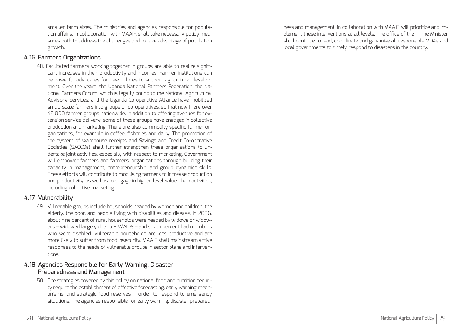smaller farm sizes. The ministries and agencies responsible for population affairs, in collaboration with MAAIF, shall take necessary policy measures both to address the challenges and to take advantage of population growth.

#### 4.16 Farmers Organizations

48. Facilitated farmers working together in groups are able to realize significant increases in their productivity and incomes. Farmer institutions can be powerful advocates for new policies to support agricultural development. Over the years, the Uganda National Farmers Federation; the National Farmers Forum, which is legally bound to the National Agricultural Advisory Services; and the Uganda Co-operative Alliance have mobilized small-scale farmers into groups or co-operatives, so that now there over 45,000 farmer groups nationwide. In addition to offering avenues for extension service delivery, some of these groups have engaged in collective production and marketing. There are also commodity specific farmer organisations, for example in coffee, fisheries and dairy. The promotion of the system of warehouse receipts and Savings and Credit Co-operative Societies (SACCOs) shall further strengthen these organisations to undertake joint activities, especially with respect to marketing. Government will empower farmers and farmers' organisations through building their capacity in management, entrepreneurship, and group dynamics skills. These efforts will contribute to mobilising farmers to increase production and productivity, as well as to engage in higher-level value-chain activities, including collective marketing.

#### 4.17 Vulnerability

49. Vulnerable groups include households headed by women and children, the elderly, the poor, and people living with disabilities and disease. In 2006, about nine percent of rural households were headed by widows or widowers – widowed largely due to HIV/AIDS – and seven percent had members who were disabled. Vulnerable households are less productive and are more likely to suffer from food insecurity. MAAIF shall mainstream active responses to the needs of vulnerable groups in sector plans and interventions.

#### 4.18 Agencies Responsible for Early Warning, Disaster Preparedness and Management

50. The strategies covered by this policy on national food and nutrition security require the establishment of effective forecasting, early warning mechanisms, and strategic food reserves in order to respond to emergency situations. The agencies responsible for early warning, disaster preparedness and management, in collaboration with MAAIF, will prioritize and implement these interventions at all levels. The office of the Prime Minister shall continue to lead, coordinate and galvanise all responsible MDAs and local governments to timely respond to disasters in the country.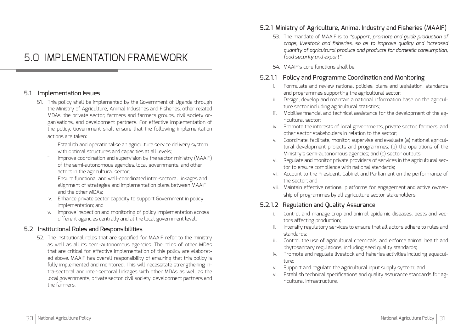### 5.0 IMPLEMENTATION FRAMEWORK

#### 5.1 Implementation Issues

- 51. This policy shall be implemented by the Government of Uganda through the Ministry of Agriculture, Animal Industries and Fisheries, other related MDAs, the private sector, farmers and farmers groups, civil society organisations, and development partners. For effective implementation of the policy, Government shall ensure that the following implementation actions are taken:
	- i. Establish and operationalise an agriculture service delivery system with optimal structures and capacities at all levels;
	- ii. Improve coordination and supervision by the sector ministry (MAAIF) of the semi-autonomous agencies, local governments, and other actors in the agricultural sector;
	- iii. Ensure functional and well-coordinated inter-sectoral linkages and alignment of strategies and implementation plans between MAAIF and the other MDAs;
	- iv. Enhance private sector capacity to support Government in policy implementation; and
	- v. Improve inspection and monitoring of policy implementation across different agencies centrally and at the local government level.

#### 5.2 Institutional Roles and Responsibilities

52. The institutional roles that are specified for MAAIF refer to the ministry as well as all its semi-autonomous agencies. The roles of other MDAs that are critical for effective implementation of this policy are elaborated above. MAAIF has overall responsibility of ensuring that this policy is fully implemented and monitored. This will necessitate strengthening intra-sectoral and inter-sectoral linkages with other MDAs as well as the local governments, private sector, civil society, development partners and the farmers.

#### 5.2.1 Ministry of Agriculture, Animal Industry and Fisheries (MAAIF)

- 53. The mandate of MAAIF is to *"support, promote and guide production of crops, livestock and fisheries, so as to improve quality and increased quantity of agricultural produce and products for domestic consumption, food security and export".*
- 54. MAAIF's core functions shall be:

#### 5.2.1.1 Policy and Programme Coordination and Monitoring

- i. Formulate and review national policies, plans and legislation, standards and programmes supporting the agricultural sector;
- ii. Design, develop and maintain a national information base on the agriculture sector including agricultural statistics;
- iii. Mobilise financial and technical assistance for the development of the agricultural sector;
- iv. Promote the interests of local governments, private sector, farmers, and other sector stakeholders in relation to the sector;
- v. Coordinate, facilitate, monitor, supervise and evaluate (a) national agricultural development projects and programmes; (b) the operations of the Ministry's semi-autonomous agencies; and (c) sector outputs;
- vi. Regulate and monitor private providers of services in the agricultural sector to ensure compliance with national standards;
- vii. Account to the President, Cabinet and Parliament on the performance of the sector; and
- viii. Maintain effective national platforms for engagement and active ownership of programmes by all agriculture sector stakeholders.

#### 5.2.1.2 Regulation and Quality Assurance

- i. Control and manage crop and animal epidemic diseases, pests and vectors affecting production;
- ii. Intensify regulatory services to ensure that all actors adhere to rules and standards;
- iii. Control the use of agricultural chemicals, and enforce animal health and phytosanitary regulations, including seed quality standards;
- iv. Promote and regulate livestock and fisheries activities including aquaculture;
- v. Support and regulate the agricultural input supply system; and
- vi. Establish technical specifications and quality assurance standards for agricultural infrastructure.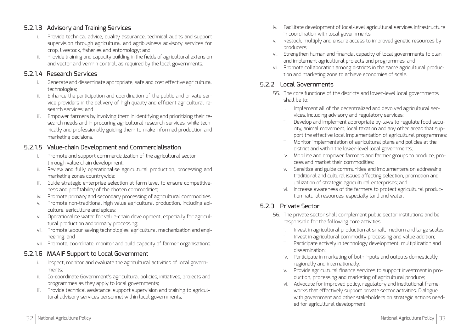#### 5.2.1.3 Advisory and Training Services

- i. Provide technical advice, quality assurance, technical audits and support supervision through agricultural and agribusiness advisory services for crop, livestock, fisheries and entomology; and
- ii. Provide training and capacity building in the fields of agricultural extension and vector and vermin control, as required by the local governments.

#### 5.2.1.4 Research Services

- i. Generate and disseminate appropriate, safe and cost effective agricultural technologies;
- ii. Enhance the participation and coordination of the public and private service providers in the delivery of high quality and efficient agricultural research services; and
- iii. Empower farmers by involving them in identifying and prioritizing their research needs and in procuring agricultural research services, while technically and professionally guiding them to make informed production and marketing decisions.

#### 5.2.1.5 Value-chain Development and Commercialisation

- i. Promote and support commercialization of the agricultural sector through value chain development;
- ii. Review and fully operationalise agricultural production, processing and marketing zones countrywide;
- iii. Guide strategic enterprise selection at farm level to ensure competitiveness and profitability of the chosen commodities;
- iv. Promote primary and secondary processing of agricultural commodities
- v. Promote non-traditional high value agricultural production, including apiculture, sericulture and spices;
- vi. Operationalise water for value-chain development, especially for agricultural production andprimary processing;
- vii. Promote labour saving technologies, agricultural mechanization and engineering; and
- viii. Promote, coordinate, monitor and build capacity of farmer organisations.

#### 5.2.1.6 MAAIF Support to Local Government

- i. Inspect, monitor and evaluate the agricultural activities of local governments;
- ii. Co-coordinate Government's agricultural policies, initiatives, projects and programmes as they apply to local governments;
- iii. Provide technical assistance, support supervision and training to agricultural advisory services personnel within local governments;
- iv. Facilitate development of local-level agricultural services infrastructure in coordination with local governments;
- v. Restock, multiply and ensure access to improved genetic resources by producers;
- vi. Strengthen human and financial capacity of local governments to plan and implement agricultural projects and programmes; and
- vii. Promote collaboration among districts in the same agricultural production and marketing zone to achieve economies of scale.

#### 5.2.2 Local Governments

- 55. The core functions of the districts and lower-level local governments shall be to:
	- i. Implement all of the decentralized and devolved agricultural services, including advisory and regulatory services;
	- ii. Develop and implement appropriate by-laws to regulate food security, animal movement, local taxation and any other areas that support the effective local implementation of agricultural programmes;
	- iii. Monitor implementation of agricultural plans and policies at the district and within the lower-level local governments;
	- iv. Mobilise and empower farmers and farmer groups to produce, process and market their commodities;
	- v. Sensitize and guide communities and implementers on addressing traditional and cultural issues affecting selection, promotion and utilization of strategic agricultural enterprises; and
	- vi. Increase awareness of the farmers to protect agricultural production natural resources, especially land and water.

#### 5.2.3 Private Sector

- 56. The private sector shall complement public sector institutions and be responsible for the following core activities:
	- i. Invest in agricultural production at small, medium and large scales;
	- ii. Invest in agricultural commodity processing and value addition;
	- iii. Participate actively in technology development, multiplication and dissemination;
	- iv. Participate in marketing of both inputs and outputs domestically, regionally and internationally;
	- v. Provide agricultural finance services to support investment in production, processing and marketing of agricultural produce;
	- vi. Advocate for improved policy, regulatory and institutional frameworks that effectively support private sector activities. Dialogue with government and other stakeholders on strategic actions needed for agricultural development;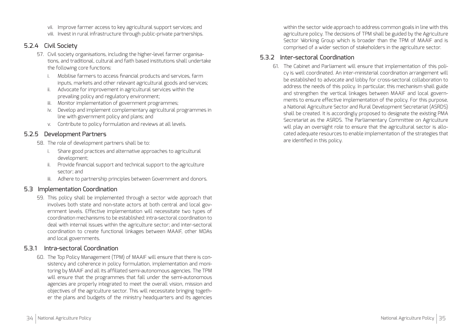- vii. Improve farmer access to key agricultural support services; and
- viii. Invest in rural infrastructure through public-private partnerships.

#### 5.2.4 Civil Society

- 57. Civil society organisations, including the higher-level farmer organisations, and traditional, cultural and faith based institutions shall undertake the following core functions:
	- i. Mobilise farmers to access financial products and services, farm inputs, markets and other relevant agricultural goods and services;
	- ii. Advocate for improvement in agricultural services within the prevailing policy and regulatory environment;
	- iii. Monitor implementation of government programmes;
	- iv. Develop and implement complementary agricultural programmes in line with government policy and plans; and
	- v. Contribute to policy formulation and reviews at all levels.

#### 5.2.5 Development Partners

- 58. The role of development partners shall be to:
	- i. Share good practices and alternative approaches to agricultural development;
	- ii. Provide financial support and technical support to the agriculture sector; and
	- iii. Adhere to partnership principles between Government and donors.

#### 5.3 Implementation Coordination

59. This policy shall be implemented through a sector wide approach that involves both state and non-state actors at both central and local government levels. Effective implementation will necessitate two types of coordination mechanisms to be established: intra-sectoral coordination to deal with internal issues within the agriculture sector; and inter-sectoral coordination to create functional linkages between MAAIF, other MDAs and local governments.

#### 5.3.1 Intra-sectoral Coordination

60. The Top Policy Management (TPM) of MAAIF will ensure that there is consistency and coherence in policy formulation, implementation and monitoring by MAAIF and all its affiliated semi-autonomous agencies. The TPM will ensure that the programmes that fall under the semi-autonomous agencies are properly integrated to meet the overall vision, mission and objectives of the agriculture sector. This will necessitate bringing together the plans and budgets of the ministry headquarters and its agencies within the sector wide approach to address common goals in line with this agriculture policy. The decisions of TPM shall be guided by the Agriculture Sector Working Group which is broader than the TPM of MAAIF and is comprised of a wider section of stakeholders in the agriculture sector.

#### 5.3.2 Inter-sectoral Coordination

61. The Cabinet and Parliament will ensure that implementation of this policy is well coordinated. An inter-ministerial coordination arrangement will be established to advocate and lobby for cross-sectoral collaboration to address the needs of this policy. In particular, this mechanism shall guide and strengthen the vertical linkages between MAAIF and local governments to ensure effective implementation of the policy. For this purpose, a National Agriculture Sector and Rural Development Secretariat (ASRDS) shall be created. It is accordingly proposed to designate the existing PMA Secretariat as the ASRDS. The Parliamentary Committee on Agriculture will play an oversight role to ensure that the agricultural sector is allocated adequate resources to enable implementation of the strategies that are identified in this policy.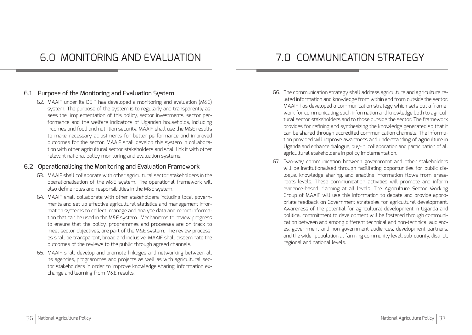#### 6.1 Purpose of the Monitoring and Evaluation System

62. MAAIF under its DSIP has developed a monitoring and evaluation (M&E) system. The purpose of the system is to regularly and transparently assess the implementation of this policy, sector investments, sector performance and the welfare indicators of Ugandan households, including incomes and food and nutrition security. MAAIF shall use the M&E results to make necessary adjustments for better performance and improved outcomes for the sector. MAAIF shall develop this system in collaboration with other agricultural sector stakeholders and shall link it with other relevant national policy monitoring and evaluation systems.

#### 6.2 Operationalising the Monitoring and Evaluation Framework

- 63. MAAIF shall collaborate with other agricultural sector stakeholders in the operationalisation of the M&E system. The operational framework will also define roles and responsibilities in the M&E system.
- 64. MAAIF shall collaborate with other stakeholders including local governments and set up effective agricultural statistics and management information systems to collect, manage and analyse data and report information that can be used in the M&E system. Mechanisms to review progress to ensure that the policy, programmes and processes are on track to meet sector objectives, are part of the M&E system. The review processes shall be transparent, broad and inclusive. MAAIF shall disseminate the outcomes of the reviews to the public through agreed channels.
- 65. MAAIF shall develop and promote linkages and networking between all its agencies, programmes and projects as well as with agricultural sector stakeholders in order to improve knowledge sharing, information exchange and learning from M&E results.

- 66. The communication strategy shall address agriculture and agriculture related information and knowledge from within and from outside the sector. MAAIF has developed a communication strategy which sets out a framework for communicating such information and knowledge both to agricultural sector stakeholders and to those outside the sector. The framework provides for refining and synthesizing the knowledge generated so that it can be shared through accredited communication channels. The information provided will improve awareness and understanding of agriculture in Uganda and enhance dialogue, buy-in, collaboration and participation of all agricultural stakeholders in policy implementation.
- 67. Two-way communication between government and other stakeholders will be institutionalised through facilitating opportunities for public dialogue, knowledge sharing, and enabling information flows from grassroots levels. These communication activities will promote and inform evidence-based planning at all levels. The Agriculture Sector Working Group of MAAIF will use this information to debate and provide appropriate feedback on Government strategies for agricultural development. Awareness of the potential for agricultural development in Uganda and political commitment to development will be fostered through communication between and among different technical and non-technical audiences, government and non-government audiences, development partners, and the wider population at farming community level, sub-county, district, regional and national levels.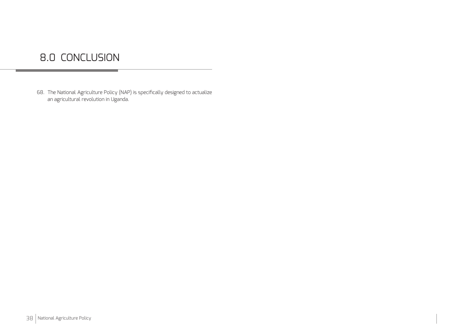## 8.0 CONCLUSION

68. The National Agriculture Policy (NAP) is specifically designed to actualize an agricultural revolution in Uganda.